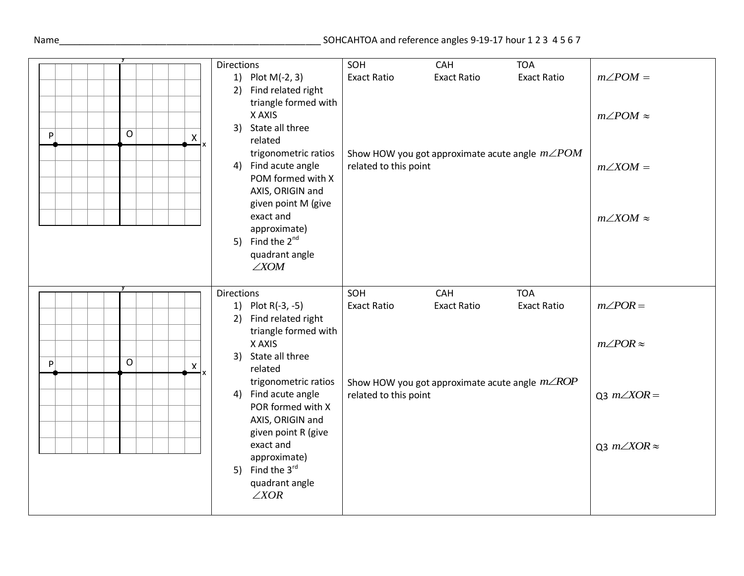## Name\_\_\_\_\_\_\_\_\_\_\_\_\_\_\_\_\_\_\_\_\_\_\_\_\_\_\_\_\_\_\_\_\_\_\_\_\_\_\_\_\_\_\_\_\_\_\_\_\_\_\_ SOHCAHTOA and reference angles 9-19-17 hour 1 2 3 4 5 6 7

|                                                      | <b>Directions</b>     | SOH                   | <b>CAH</b>         | <b>TOA</b>                                             |                          |
|------------------------------------------------------|-----------------------|-----------------------|--------------------|--------------------------------------------------------|--------------------------|
|                                                      | 1) Plot M(-2, 3)      | <b>Exact Ratio</b>    | <b>Exact Ratio</b> | <b>Exact Ratio</b>                                     | $m\angle POM =$          |
|                                                      | 2) Find related right |                       |                    |                                                        |                          |
|                                                      | triangle formed with  |                       |                    |                                                        |                          |
|                                                      | X AXIS                |                       |                    |                                                        | $m\angle POM \approx$    |
|                                                      | 3) State all three    |                       |                    |                                                        |                          |
| $\mathsf{O}$<br>$\mathsf{P}$<br>X                    | related               |                       |                    |                                                        |                          |
|                                                      |                       |                       |                    |                                                        |                          |
|                                                      | trigonometric ratios  |                       |                    | Show HOW you got approximate acute angle $m\angle POM$ |                          |
|                                                      | 4) Find acute angle   | related to this point |                    |                                                        | $m\angle XOM =$          |
|                                                      | POM formed with X     |                       |                    |                                                        |                          |
|                                                      | AXIS, ORIGIN and      |                       |                    |                                                        |                          |
|                                                      | given point M (give   |                       |                    |                                                        |                          |
|                                                      | exact and             |                       |                    |                                                        | $m\angle XOM \approx$    |
|                                                      | approximate)          |                       |                    |                                                        |                          |
|                                                      | 5) Find the $2^{nd}$  |                       |                    |                                                        |                          |
|                                                      | quadrant angle        |                       |                    |                                                        |                          |
|                                                      | $\angle$ <i>XOM</i>   |                       |                    |                                                        |                          |
|                                                      |                       |                       |                    |                                                        |                          |
|                                                      | <b>Directions</b>     |                       |                    |                                                        |                          |
|                                                      |                       | SOH                   | CAH                | <b>TOA</b>                                             |                          |
|                                                      | 1) Plot R(-3, -5)     | <b>Exact Ratio</b>    | <b>Exact Ratio</b> | <b>Exact Ratio</b>                                     | $m\angle POR =$          |
|                                                      | 2) Find related right |                       |                    |                                                        |                          |
|                                                      |                       |                       |                    |                                                        |                          |
|                                                      | triangle formed with  |                       |                    |                                                        |                          |
|                                                      | X AXIS                |                       |                    |                                                        | $m\angle POR \approx$    |
| $\overline{O}$<br>$\mathsf{P}$<br>$\pmb{\mathsf{X}}$ | 3) State all three    |                       |                    |                                                        |                          |
|                                                      | related               |                       |                    |                                                        |                          |
|                                                      | trigonometric ratios  |                       |                    | Show HOW you got approximate acute angle $m\angle ROP$ |                          |
|                                                      | 4) Find acute angle   | related to this point |                    |                                                        | Q3 $m\angle XOR =$       |
|                                                      | POR formed with X     |                       |                    |                                                        |                          |
|                                                      | AXIS, ORIGIN and      |                       |                    |                                                        |                          |
|                                                      | given point R (give   |                       |                    |                                                        |                          |
|                                                      | exact and             |                       |                    |                                                        | Q3 $m\angle XOR \approx$ |
|                                                      | approximate)          |                       |                    |                                                        |                          |
|                                                      | 5) Find the 3rd       |                       |                    |                                                        |                          |
|                                                      | quadrant angle        |                       |                    |                                                        |                          |
|                                                      | $\angle XOR$          |                       |                    |                                                        |                          |